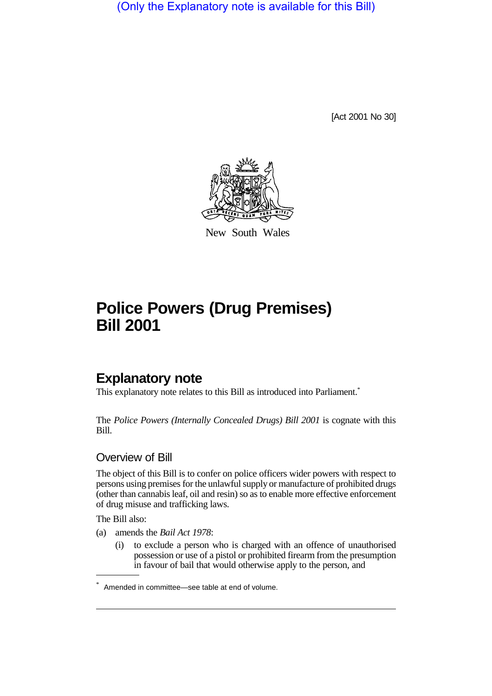(Only the Explanatory note is available for this Bill)

[Act 2001 No 30]



New South Wales

# **Police Powers (Drug Premises) Bill 2001**

# **Explanatory note**

This explanatory note relates to this Bill as introduced into Parliament.<sup>\*</sup>

The *Police Powers (Internally Concealed Drugs) Bill 2001* is cognate with this Bill.

#### Overview of Bill

The object of this Bill is to confer on police officers wider powers with respect to persons using premises for the unlawful supply or manufacture of prohibited drugs (other than cannabis leaf, oil and resin) so as to enable more effective enforcement of drug misuse and trafficking laws.

The Bill also:

- (a) amends the *Bail Act 1978*:
	- (i) to exclude a person who is charged with an offence of unauthorised possession or use of a pistol or prohibited firearm from the presumption in favour of bail that would otherwise apply to the person, and

<sup>\*</sup> Amended in committee—see table at end of volume.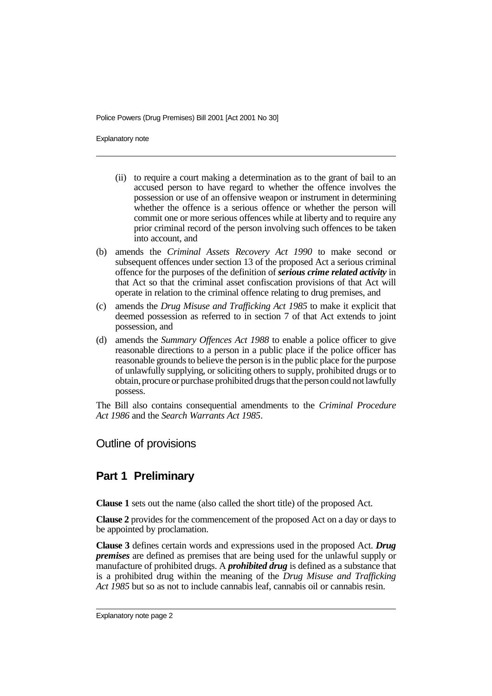Explanatory note

- (ii) to require a court making a determination as to the grant of bail to an accused person to have regard to whether the offence involves the possession or use of an offensive weapon or instrument in determining whether the offence is a serious offence or whether the person will commit one or more serious offences while at liberty and to require any prior criminal record of the person involving such offences to be taken into account, and
- (b) amends the *Criminal Assets Recovery Act 1990* to make second or subsequent offences under section 13 of the proposed Act a serious criminal offence for the purposes of the definition of *serious crime related activity* in that Act so that the criminal asset confiscation provisions of that Act will operate in relation to the criminal offence relating to drug premises, and
- (c) amends the *Drug Misuse and Trafficking Act 1985* to make it explicit that deemed possession as referred to in section 7 of that Act extends to joint possession, and
- (d) amends the *Summary Offences Act 1988* to enable a police officer to give reasonable directions to a person in a public place if the police officer has reasonable grounds to believe the person is in the public place for the purpose of unlawfully supplying, or soliciting others to supply, prohibited drugs or to obtain, procure or purchase prohibited drugs that the person could not lawfully possess.

The Bill also contains consequential amendments to the *Criminal Procedure Act 1986* and the *Search Warrants Act 1985*.

Outline of provisions

# **Part 1 Preliminary**

**Clause 1** sets out the name (also called the short title) of the proposed Act.

**Clause 2** provides for the commencement of the proposed Act on a day or days to be appointed by proclamation.

**Clause 3** defines certain words and expressions used in the proposed Act. *Drug premises* are defined as premises that are being used for the unlawful supply or manufacture of prohibited drugs. A *prohibited drug* is defined as a substance that is a prohibited drug within the meaning of the *Drug Misuse and Trafficking Act 1985* but so as not to include cannabis leaf, cannabis oil or cannabis resin.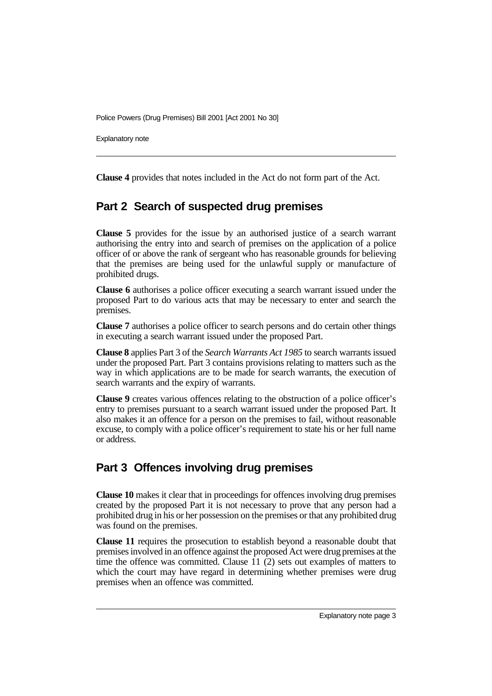Explanatory note

**Clause 4** provides that notes included in the Act do not form part of the Act.

# **Part 2 Search of suspected drug premises**

**Clause 5** provides for the issue by an authorised justice of a search warrant authorising the entry into and search of premises on the application of a police officer of or above the rank of sergeant who has reasonable grounds for believing that the premises are being used for the unlawful supply or manufacture of prohibited drugs.

**Clause 6** authorises a police officer executing a search warrant issued under the proposed Part to do various acts that may be necessary to enter and search the premises.

**Clause 7** authorises a police officer to search persons and do certain other things in executing a search warrant issued under the proposed Part.

**Clause 8** applies Part 3 of the *Search Warrants Act 1985* to search warrants issued under the proposed Part. Part 3 contains provisions relating to matters such as the way in which applications are to be made for search warrants, the execution of search warrants and the expiry of warrants.

**Clause 9** creates various offences relating to the obstruction of a police officer's entry to premises pursuant to a search warrant issued under the proposed Part. It also makes it an offence for a person on the premises to fail, without reasonable excuse, to comply with a police officer's requirement to state his or her full name or address.

# **Part 3 Offences involving drug premises**

**Clause 10** makes it clear that in proceedings for offences involving drug premises created by the proposed Part it is not necessary to prove that any person had a prohibited drug in his or her possession on the premises or that any prohibited drug was found on the premises.

**Clause 11** requires the prosecution to establish beyond a reasonable doubt that premises involved in an offence against the proposed Act were drug premises at the time the offence was committed. Clause 11 (2) sets out examples of matters to which the court may have regard in determining whether premises were drug premises when an offence was committed.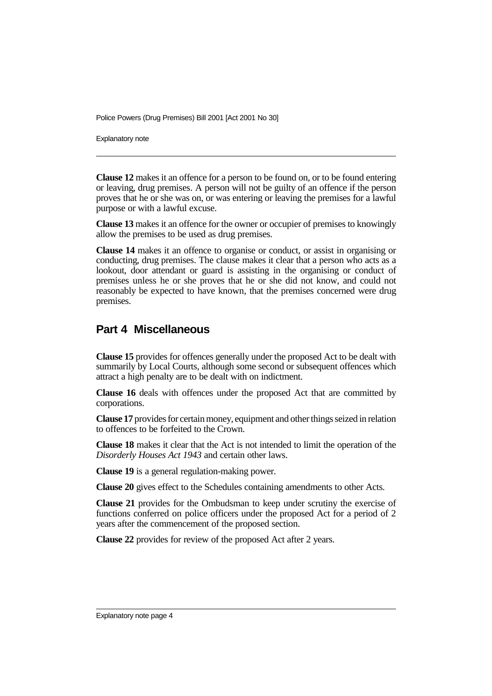Explanatory note

**Clause 12** makes it an offence for a person to be found on, or to be found entering or leaving, drug premises. A person will not be guilty of an offence if the person proves that he or she was on, or was entering or leaving the premises for a lawful purpose or with a lawful excuse.

**Clause 13** makes it an offence for the owner or occupier of premises to knowingly allow the premises to be used as drug premises.

**Clause 14** makes it an offence to organise or conduct, or assist in organising or conducting, drug premises. The clause makes it clear that a person who acts as a lookout, door attendant or guard is assisting in the organising or conduct of premises unless he or she proves that he or she did not know, and could not reasonably be expected to have known, that the premises concerned were drug premises.

#### **Part 4 Miscellaneous**

**Clause 15** provides for offences generally under the proposed Act to be dealt with summarily by Local Courts, although some second or subsequent offences which attract a high penalty are to be dealt with on indictment.

**Clause 16** deals with offences under the proposed Act that are committed by corporations.

**Clause 17** provides for certain money, equipment and other things seized in relation to offences to be forfeited to the Crown.

**Clause 18** makes it clear that the Act is not intended to limit the operation of the *Disorderly Houses Act 1943* and certain other laws.

**Clause 19** is a general regulation-making power.

**Clause 20** gives effect to the Schedules containing amendments to other Acts.

**Clause 21** provides for the Ombudsman to keep under scrutiny the exercise of functions conferred on police officers under the proposed Act for a period of 2 years after the commencement of the proposed section.

**Clause 22** provides for review of the proposed Act after 2 years.